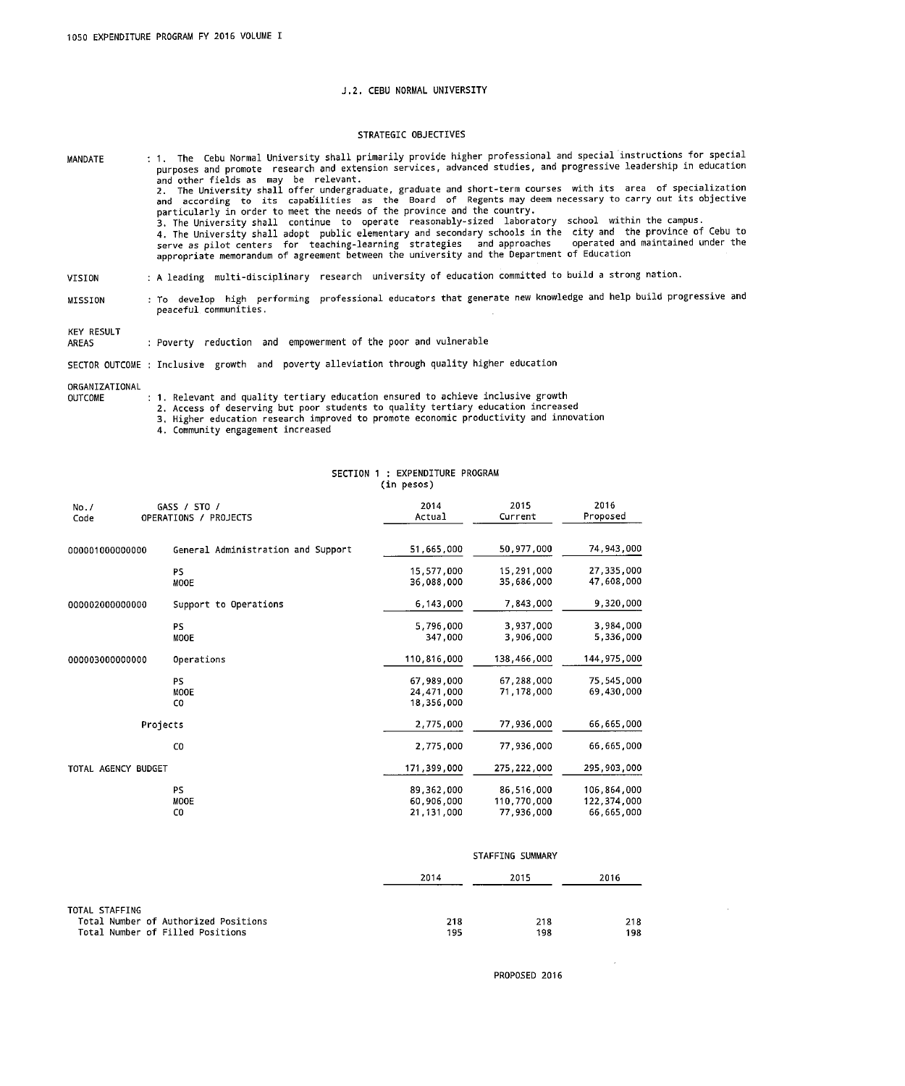## J.2. CEBU NORMAL UNIVERSITY

### STRATEGIC OBJECTIVES

: 1. The Cebu Normal University shall primarily provide higher professional and special instructions for special MANDATE The change of the community of the search and extension services, advanced studies, and progressive leadership in education<br>and other fields as may be relevant.<br>2. The University shall offer undergraduate, graduate and sho particularly in order to meet the needs of the province and the country.<br>3. The University shall continue to operate reasonably-sized laboratory school within the campus. 3. The University Shall continue to operate reasonably-sized laboratory School within the Campus.<br>4. The University shall adopt public elementary and secondary schools in the city and the province of Cebu to<br>serve as pilot

- : A leading multi-disciplinary research university of education committed to build a strong nation. VISION
- : To develop high performing professional educators that generate new knowledge and help build progressive and MISSION peaceful communities.

KEY RESULT

: Poverty reduction and empowerment of the poor and vulnerable AREAS

SECTOR OUTCOME : Inclusive growth and poverty alleviation through quality higher education

ORGANIZATIONAL

**OUTCOME** 

: 1. Relevant and quality tertiary education ensured to achieve inclusive growth

2. Access of deserving but poor students to quality tertiary education increased

3. Higher education research improved to promote economic productivity and innovation

4. Community engagement increased

|                     | SECTION 1 : EXPENDITURE PROGRAM<br>(in pesos) |                                        |                                         |                                          |  |
|---------------------|-----------------------------------------------|----------------------------------------|-----------------------------------------|------------------------------------------|--|
| No. /<br>Code       | GASS / STO /<br>OPERATIONS / PROJECTS         | 2014<br>Actual                         | 2015<br>Current                         | 2016<br>Proposed                         |  |
| 000001000000000     | General Administration and Support            | 51,665,000                             | 50,977,000                              | 74,943,000                               |  |
|                     | <b>PS</b><br>MOOE                             | 15,577,000<br>36,088,000               | 15,291,000<br>35,686,000                | 27,335,000<br>47,608,000                 |  |
| 000002000000000     | Support to Operations                         | 6,143,000                              | 7,843,000                               | 9,320,000                                |  |
|                     | <b>PS</b><br><b>MOOE</b>                      | 5,796,000<br>347,000                   | 3,937,000<br>3,906,000                  | 3,984,000<br>5,336,000                   |  |
| 000003000000000     | Operations                                    | 110,816,000                            | 138,466,000                             | 144,975,000                              |  |
|                     | <b>PS</b><br>MOOE<br>C <sub>0</sub>           | 67,989,000<br>24,471,000<br>18,356,000 | 67,288,000<br>71,178,000                | 75,545,000<br>69,430,000                 |  |
|                     | Projects                                      | 2,775,000                              | 77,936,000                              | 66,665,000                               |  |
|                     | C <sub>0</sub>                                | 2,775,000                              | 77,936,000                              | 66.665.000                               |  |
| TOTAL AGENCY BUDGET |                                               | 171,399,000                            | 275,222,000                             | 295,903,000                              |  |
|                     | <b>PS</b><br>MOOE<br>C <sub>0</sub>           | 89,362,000<br>60,906,000<br>21,131,000 | 86,516,000<br>110,770,000<br>77,936,000 | 106,864,000<br>122,374,000<br>66,665,000 |  |

|                                                                                            | STAFFING SUMMARY |            |            |  |
|--------------------------------------------------------------------------------------------|------------------|------------|------------|--|
|                                                                                            | 2014             | 2015       | 2016       |  |
| TOTAL STAFFING<br>Total Number of Authorized Positions<br>Total Number of Filled Positions | 218<br>195       | 218<br>198 | 218<br>198 |  |

PROPOSED 2016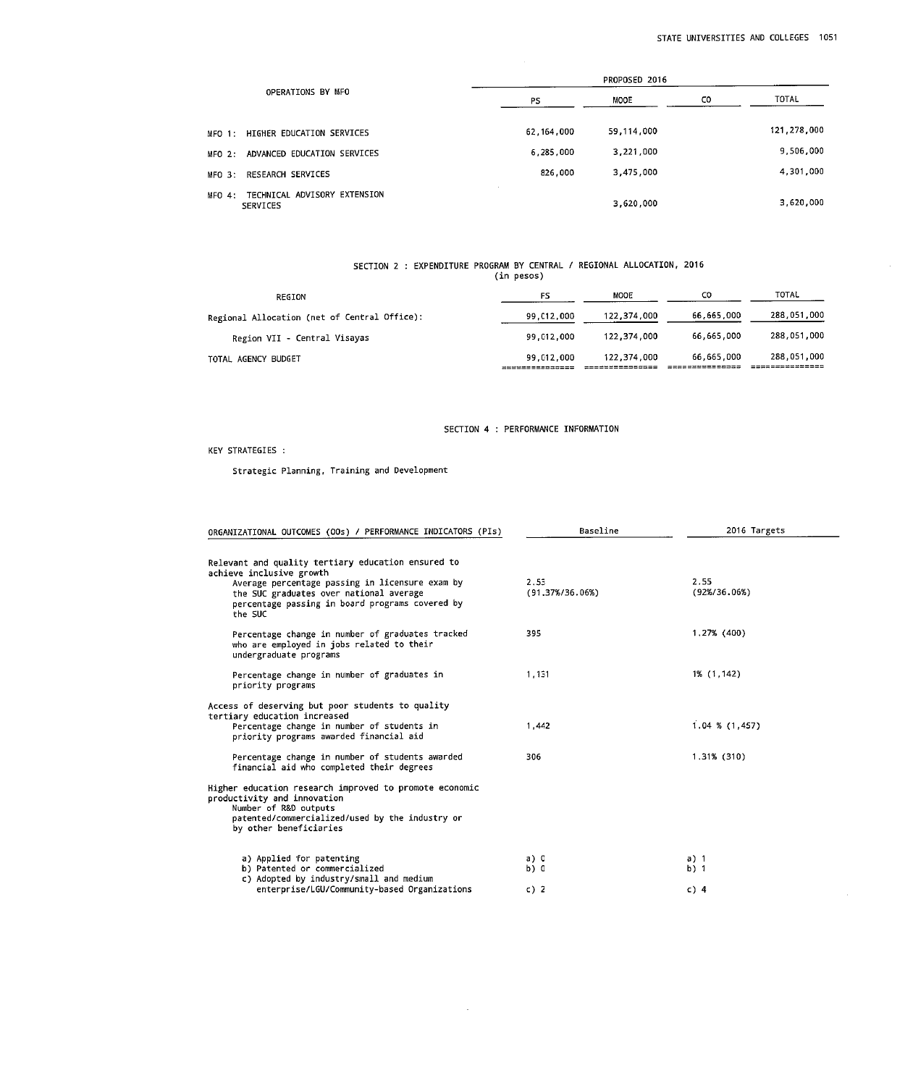$\mathcal{A}$ 

|                                                 | PROPOSED 2016 |            |     |             |
|-------------------------------------------------|---------------|------------|-----|-------------|
| OPERATIONS BY MFO                               | PS            | MOOE       | CO. | TOTAL       |
| MFO 1: HIGHER EDUCATION SERVICES                | 62.164,000    | 59,114,000 |     | 121,278,000 |
| ADVANCED EDUCATION SERVICES<br>$MFO$ 2:         | 6,285,000     | 3,221,000  |     | 9,506,000   |
| MFO 3: RESEARCH SERVICES                        | 826,000       | 3,475,000  |     | 4,301,000   |
| MFO 4: TECHNICAL ADVISORY EXTENSION<br>SERVICES |               | 3,620,000  |     | 3,620,000   |

# SECTION 2 : EXPENDITURE PROGRAM BY CENTRAL / REGIONAL ALLOCATION, 2016<br>(in pesos)

| REGION                                       | PS                        | MOOE        | co         | TOTAL       |
|----------------------------------------------|---------------------------|-------------|------------|-------------|
| Regional Allocation (net of Central Office): | 99.012.000                | 122,374,000 | 66,665,000 | 288,051,000 |
| Region VII - Central Visayas                 | 99,012,000                | 122.374.000 | 66.665.000 | 288,051,000 |
| TOTAL AGENCY BUDGET                          | 99.012.000<br>=========== | 122,374,000 | 66,665,000 | 288,051,000 |

## SECTION 4 : PERFORMANCE INFORMATION

KEY STRATEGIES :

Strategic Planning, Training and Development

| ORGANIZATIONAL OUTCOMES (OOs) / PERFORMANCE INDICATORS (PIs)                                                                                                                                                                               | Baseline                            | 2016 Targets             |
|--------------------------------------------------------------------------------------------------------------------------------------------------------------------------------------------------------------------------------------------|-------------------------------------|--------------------------|
| Relevant and quality tertiary education ensured to<br>achieve inclusive growth<br>Average percentage passing in licensure exam by<br>the SUC graduates over national average<br>percentage passing in board programs covered by<br>the SUC | 2.53<br>$(91.37\frac{1}{2}75.06\%)$ | 2.55<br>$(92\%/36.06\%)$ |
| Percentage change in number of graduates tracked<br>who are employed in jobs related to their<br>undergraduate programs                                                                                                                    | 395                                 | 1,27% (400)              |
| Percentage change in number of graduates in<br>priority programs                                                                                                                                                                           | 1,131                               | 1% (1,142)               |
| Access of deserving but poor students to quality                                                                                                                                                                                           |                                     |                          |
| tertiary education increased<br>Percentage change in number of students in<br>priority programs awarded financial aid                                                                                                                      | 1.442                               | $1.04$ % $(1,457)$       |
| Percentage change in number of students awarded<br>financial aid who completed their degrees                                                                                                                                               | 306                                 | $1.31\%$ (310)           |
| Higher education research improved to promote economic<br>productivity and innovation<br>Number of R&D outputs<br>patented/commercialized/used by the industry or<br>by other beneficiaries                                                |                                     |                          |
| a) Applied for patenting                                                                                                                                                                                                                   | a) 0                                | a) 1                     |
| b) Patented or commercialized<br>c) Adopted by industry/small and medium                                                                                                                                                                   | b) 0                                | $b)$ 1                   |
| enterprise/LGU/Community-based Organizations                                                                                                                                                                                               | c) $2$                              | $c)$ 4                   |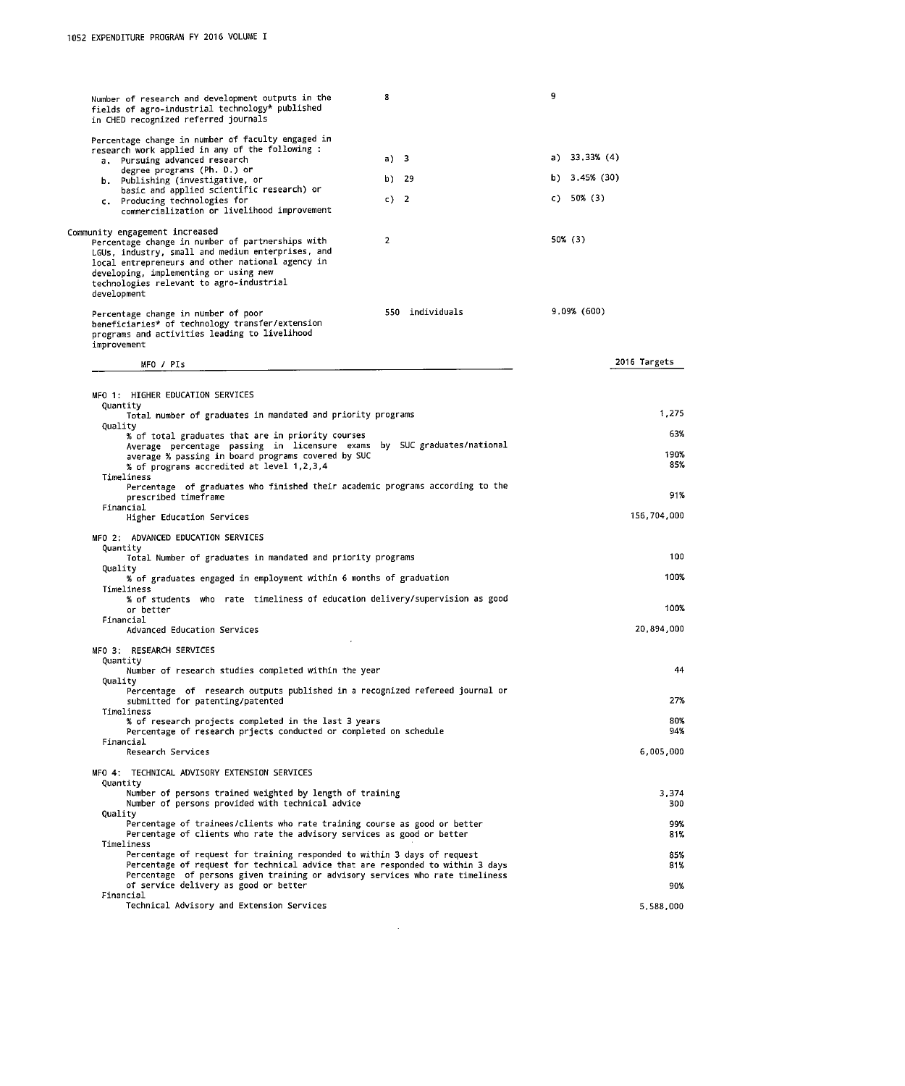| Number of research and development outputs in the<br>fields of agro-industrial technology* published<br>in CHED recognized referred journals           | 8               | 9                |
|--------------------------------------------------------------------------------------------------------------------------------------------------------|-----------------|------------------|
| Percentage change in number of faculty engaged in                                                                                                      |                 |                  |
| research work applied in any of the following :                                                                                                        |                 |                  |
| a. Pursuing advanced research                                                                                                                          | a) 3            | a) 33.33% (4)    |
| degree programs (Ph. D.) or<br>b. Publishing (investigative, or                                                                                        | b) 29           | b) $3.45\%$ (30) |
| basic and applied scientific research) or                                                                                                              |                 | c) 50% (3)       |
| c. Producing technologies for<br>commercialization or livelihood improvement                                                                           | c) 2            |                  |
| Community engagement increased                                                                                                                         |                 |                  |
| Percentage change in number of partnerships with                                                                                                       | $\overline{2}$  | 50% (3)          |
| LGUs, industry, small and medium enterprises, and<br>local entrepreneurs and other national agency in                                                  |                 |                  |
| developing, implementing or using new                                                                                                                  |                 |                  |
| technologies relevant to agro-industrial<br>development                                                                                                |                 |                  |
|                                                                                                                                                        | 550 individuals | 9,09% (600)      |
| Percentage change in number of poor<br>beneficiaries* of technology transfer/extension<br>programs and activities leading to livelihood<br>improvement |                 |                  |
|                                                                                                                                                        |                 |                  |
| MFO / PIs                                                                                                                                              |                 | 2016 Targets     |
|                                                                                                                                                        |                 |                  |
| MFO 1: HIGHER EDUCATION SERVICES<br>Quantity                                                                                                           |                 |                  |
| Total number of graduates in mandated and priority programs                                                                                            |                 | 1,275            |
| Quality<br>% of total graduates that are in priority courses                                                                                           |                 | 63%              |
| Average percentage passing in licensure exams by SUC graduates/national                                                                                |                 |                  |
| average % passing in board programs covered by SUC<br>% of programs accredited at level 1,2,3,4                                                        |                 | 190%<br>85%      |
| Timeliness                                                                                                                                             |                 |                  |
| Percentage of graduates who finished their academic programs according to the<br>prescribed timeframe                                                  |                 | 91%              |
| Financial                                                                                                                                              |                 |                  |
| Higher Education Services                                                                                                                              |                 | 156,704,000      |
| MFO 2: ADVANCED EDUCATION SERVICES                                                                                                                     |                 |                  |
| Quantity<br>Total Number of graduates in mandated and priority programs                                                                                |                 | 100              |
| Quality                                                                                                                                                |                 |                  |
| % of graduates engaged in employment within 6 months of graduation                                                                                     |                 | 100%             |
| Timeliness<br>% of students who rate timeliness of education delivery/supervision as good                                                              |                 |                  |
| or better                                                                                                                                              |                 | 100%             |
| Financial<br>Advanced Education Services                                                                                                               |                 | 20,894,000       |
| $\cdot$                                                                                                                                                |                 |                  |
| MFO 3: RESEARCH SERVICES<br>Quantity                                                                                                                   |                 |                  |
| Number of research studies completed within the year                                                                                                   |                 | 44               |
| Quality<br>Percentage of research outputs published in a recognized refereed journal or                                                                |                 |                  |
| submitted for patenting/patented                                                                                                                       |                 | 27%              |
| Timeliness<br>% of research projects completed in the last 3 years                                                                                     |                 | 80%              |
| Percentage of research priects conducted or completed on schedule                                                                                      |                 | 94%              |
| Financial<br>Research Services                                                                                                                         |                 | 6,005,000        |
|                                                                                                                                                        |                 |                  |
| MFO 4: TECHNICAL ADVISORY EXTENSION SERVICES<br>Quantity                                                                                               |                 |                  |
| Number of persons trained weighted by length of training                                                                                               |                 | 3,374            |
| Number of persons provided with technical advice<br>Quality                                                                                            |                 | 300              |
| Percentage of trainees/clients who rate training course as good or better                                                                              |                 | 99%              |
| Percentage of clients who rate the advisory services as good or better                                                                                 |                 | 81%              |
| Timeliness<br>Percentage of request for training responded to within 3 days of request                                                                 |                 | 85%              |
| Percentage of request for technical advice that are responded to within 3 days                                                                         |                 | 81%              |
| Percentage of persons given training or advisory services who rate timeliness<br>of service delivery as good or better                                 |                 | 90%              |
| Financial                                                                                                                                              |                 |                  |
| Technical Advisory and Extension Services                                                                                                              |                 | 5,588,000        |

 $\sim 10^{-10}$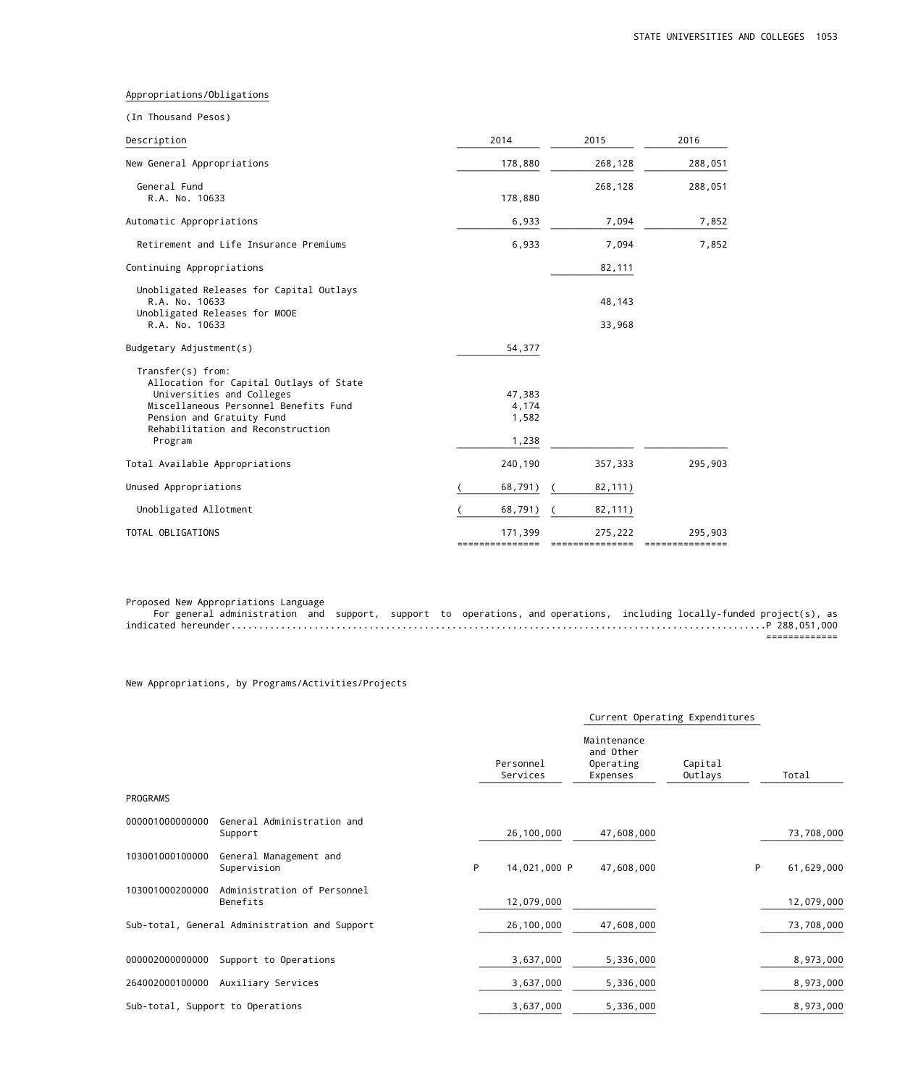### Appropriations/Obligations ¯¯¯¯¯¯¯¯¯¯¯¯¯¯¯¯¯¯¯¯¯¯¯¯¯¯

|  | (In Thousand Pesos) |  |
|--|---------------------|--|
|--|---------------------|--|

| Description                                                                                                                                                                                                     | 2014                              | 2015                       | 2016                       |
|-----------------------------------------------------------------------------------------------------------------------------------------------------------------------------------------------------------------|-----------------------------------|----------------------------|----------------------------|
| New General Appropriations                                                                                                                                                                                      | 178,880                           | 268,128                    | 288,051                    |
| General Fund<br>R.A. No. 10633                                                                                                                                                                                  | 178,880                           | 268,128                    | 288,051                    |
| Automatic Appropriations                                                                                                                                                                                        | 6,933                             | 7,094                      | 7,852                      |
| Retirement and Life Insurance Premiums                                                                                                                                                                          | 6,933                             | 7,094                      | 7,852                      |
| Continuing Appropriations                                                                                                                                                                                       |                                   | 82,111                     |                            |
| Unobligated Releases for Capital Outlays<br>R.A. No. 10633<br>Unobligated Releases for MOOE<br>R.A. No. 10633                                                                                                   |                                   | 48,143<br>33,968           |                            |
| Budgetary Adjustment(s)                                                                                                                                                                                         | 54,377                            |                            |                            |
| Transfer(s) from:<br>Allocation for Capital Outlays of State<br>Universities and Colleges<br>Miscellaneous Personnel Benefits Fund<br>Pension and Gratuity Fund<br>Rehabilitation and Reconstruction<br>Program | 47,383<br>4,174<br>1,582<br>1,238 |                            |                            |
| Total Available Appropriations                                                                                                                                                                                  | 240,190                           | 357,333                    | 295,903                    |
| Unused Appropriations                                                                                                                                                                                           | 68,791)                           | 82,111)                    |                            |
| Unobligated Allotment                                                                                                                                                                                           | 68,791)                           | 82,111)                    |                            |
| TOTAL OBLIGATIONS                                                                                                                                                                                               | 171,399<br>===============        | 275,222<br>=============== | 295,903<br>=============== |

Proposed New Appropriations Language

 For general administration and support, support to operations, and operations, including locally-funded project(s), as indicated hereunder.................................................................................................P 288,051,000 =============

New Appropriations, by Programs/Activities/Projects

|                 |                                               |   |                       |                                                   | Current Operating Expenditures |            |
|-----------------|-----------------------------------------------|---|-----------------------|---------------------------------------------------|--------------------------------|------------|
|                 |                                               |   | Personnel<br>Services | Maintenance<br>and Other<br>Operating<br>Expenses | Capital<br>Outlays             | Total      |
| PROGRAMS        |                                               |   |                       |                                                   |                                |            |
| 000001000000000 | General Administration and<br>Support         |   | 26,100,000            | 47,608,000                                        |                                | 73,708,000 |
| 103001000100000 | General Management and<br>Supervision         | P | 14,021,000 P          | 47,608,000                                        | P                              | 61,629,000 |
| 103001000200000 | Administration of Personnel<br>Benefits       |   | 12,079,000            |                                                   |                                | 12,079,000 |
|                 | Sub-total, General Administration and Support |   | 26,100,000            | 47,608,000                                        |                                | 73,708,000 |
| 000002000000000 | Support to Operations                         |   | 3,637,000             | 5,336,000                                         |                                | 8,973,000  |
| 264002000100000 | Auxiliary Services                            |   | 3,637,000             | 5,336,000                                         |                                | 8,973,000  |
|                 | Sub-total, Support to Operations              |   | 3,637,000             | 5,336,000                                         |                                | 8,973,000  |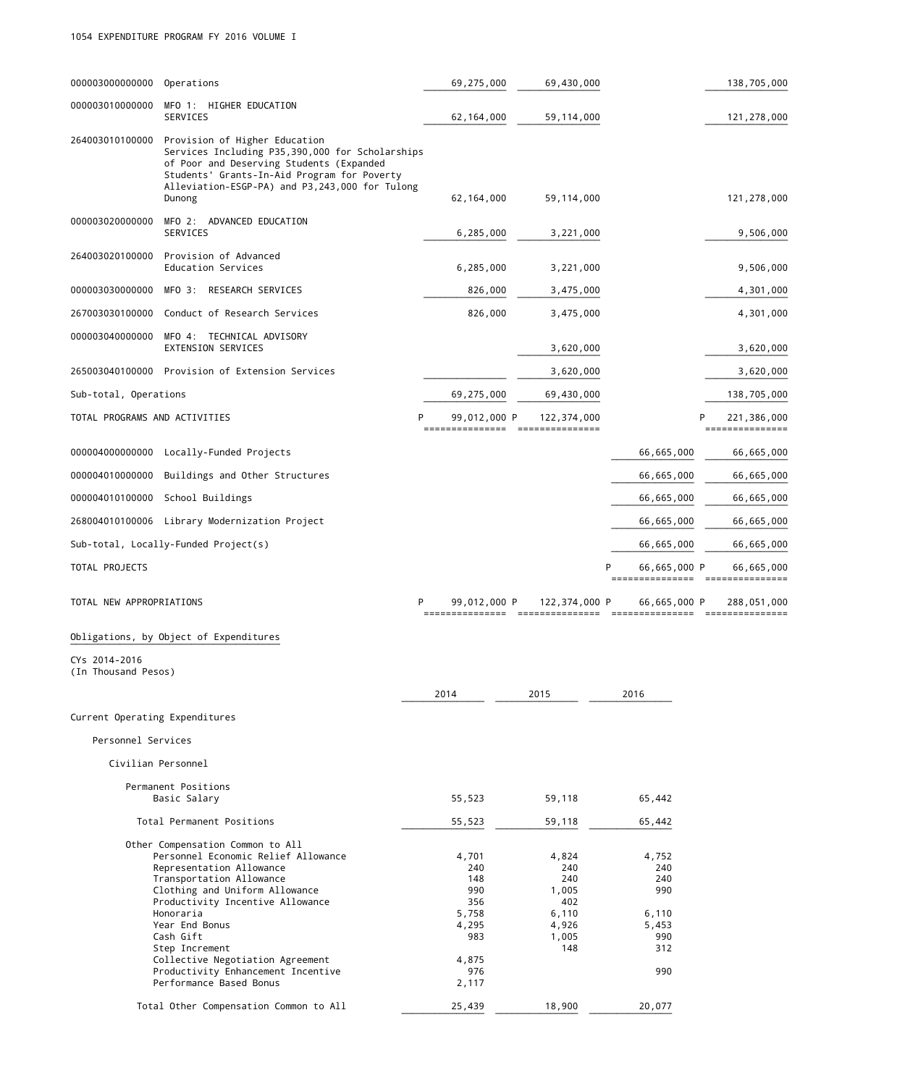| 000003000000000                      | Operations                                                                                                                                                                                                                                                                                                                                                               | 69,275,000                                                                          | 69,430,000                                                            |                                                                   | 138,705,000                                   |
|--------------------------------------|--------------------------------------------------------------------------------------------------------------------------------------------------------------------------------------------------------------------------------------------------------------------------------------------------------------------------------------------------------------------------|-------------------------------------------------------------------------------------|-----------------------------------------------------------------------|-------------------------------------------------------------------|-----------------------------------------------|
| 000003010000000                      | MFO 1: HIGHER EDUCATION<br>SERVICES                                                                                                                                                                                                                                                                                                                                      | 62, 164, 000                                                                        | 59, 114, 000                                                          |                                                                   | 121,278,000                                   |
| 264003010100000                      | Provision of Higher Education<br>Services Including P35,390,000 for Scholarships<br>of Poor and Deserving Students (Expanded<br>Students' Grants-In-Aid Program for Poverty<br>Alleviation-ESGP-PA) and P3,243,000 for Tulong<br>Dunong                                                                                                                                  | 62, 164, 000                                                                        | 59, 114, 000                                                          |                                                                   | 121,278,000                                   |
| 000003020000000                      | MFO 2: ADVANCED EDUCATION<br>SERVICES                                                                                                                                                                                                                                                                                                                                    | 6,285,000                                                                           | 3,221,000                                                             |                                                                   | 9,506,000                                     |
| 264003020100000                      | Provision of Advanced<br>Education Services                                                                                                                                                                                                                                                                                                                              | 6,285,000                                                                           | 3,221,000                                                             |                                                                   | 9,506,000                                     |
| 000003030000000                      | MFO 3: RESEARCH SERVICES                                                                                                                                                                                                                                                                                                                                                 | 826,000                                                                             | 3,475,000                                                             |                                                                   | 4,301,000                                     |
| 267003030100000                      | Conduct of Research Services                                                                                                                                                                                                                                                                                                                                             | 826,000                                                                             | 3,475,000                                                             |                                                                   | 4,301,000                                     |
| 000003040000000                      | MFO 4: TECHNICAL ADVISORY<br><b>EXTENSION SERVICES</b>                                                                                                                                                                                                                                                                                                                   |                                                                                     | 3,620,000                                                             |                                                                   | 3,620,000                                     |
|                                      | 265003040100000 Provision of Extension Services                                                                                                                                                                                                                                                                                                                          |                                                                                     | 3,620,000                                                             |                                                                   | 3,620,000                                     |
| Sub-total, Operations                |                                                                                                                                                                                                                                                                                                                                                                          | 69,275,000                                                                          | 69,430,000                                                            |                                                                   | 138,705,000                                   |
| TOTAL PROGRAMS AND ACTIVITIES        |                                                                                                                                                                                                                                                                                                                                                                          | 99,012,000 P<br>---------------                                                     | 122,374,000<br>----------------                                       |                                                                   | 221,386,000<br>===============                |
|                                      | 000004000000000 Locally-Funded Projects                                                                                                                                                                                                                                                                                                                                  |                                                                                     |                                                                       | 66,665,000                                                        | 66,665,000                                    |
| 000004010000000                      | Buildings and Other Structures                                                                                                                                                                                                                                                                                                                                           |                                                                                     |                                                                       | 66,665,000                                                        | 66,665,000                                    |
| 000004010100000                      | School Buildings                                                                                                                                                                                                                                                                                                                                                         |                                                                                     |                                                                       | 66,665,000                                                        | 66,665,000                                    |
|                                      | 268004010100006 Library Modernization Project                                                                                                                                                                                                                                                                                                                            |                                                                                     |                                                                       | 66,665,000                                                        | 66,665,000                                    |
|                                      | Sub-total, Locally-Funded Project(s)                                                                                                                                                                                                                                                                                                                                     |                                                                                     |                                                                       | 66,665,000                                                        | 66,665,000                                    |
| TOTAL PROJECTS                       |                                                                                                                                                                                                                                                                                                                                                                          |                                                                                     |                                                                       | 66,665,000 P<br>P                                                 | 66,665,000<br>=============================== |
| TOTAL NEW APPROPRIATIONS             |                                                                                                                                                                                                                                                                                                                                                                          | 99,012,000 P<br>P                                                                   | 122,374,000 P                                                         | 66,665,000 P                                                      | 288,051,000                                   |
|                                      | Obligations, by Object of Expenditures                                                                                                                                                                                                                                                                                                                                   |                                                                                     |                                                                       |                                                                   |                                               |
| CYs 2014-2016<br>(In Thousand Pesos) |                                                                                                                                                                                                                                                                                                                                                                          |                                                                                     |                                                                       |                                                                   |                                               |
|                                      |                                                                                                                                                                                                                                                                                                                                                                          | 2014                                                                                | 2015                                                                  | 2016                                                              |                                               |
| Current Operating Expenditures       |                                                                                                                                                                                                                                                                                                                                                                          |                                                                                     |                                                                       |                                                                   |                                               |
| Personnel Services                   |                                                                                                                                                                                                                                                                                                                                                                          |                                                                                     |                                                                       |                                                                   |                                               |
|                                      | Civilian Personnel                                                                                                                                                                                                                                                                                                                                                       |                                                                                     |                                                                       |                                                                   |                                               |
|                                      | Permanent Positions<br>Basic Salary                                                                                                                                                                                                                                                                                                                                      | 55,523                                                                              | 59,118                                                                | 65,442                                                            |                                               |
|                                      | Total Permanent Positions                                                                                                                                                                                                                                                                                                                                                | 55,523                                                                              | 59,118                                                                | 65,442                                                            |                                               |
|                                      | Other Compensation Common to All<br>Personnel Economic Relief Allowance<br>Representation Allowance<br>Transportation Allowance<br>Clothing and Uniform Allowance<br>Productivity Incentive Allowance<br>Honoraria<br>Year End Bonus<br>Cash Gift<br>Step Increment<br>Collective Negotiation Agreement<br>Productivity Enhancement Incentive<br>Performance Based Bonus | 4,701<br>240<br>148<br>990<br>356<br>5,758<br>4,295<br>983<br>4,875<br>976<br>2,117 | 4,824<br>240<br>240<br>1,005<br>402<br>6,110<br>4,926<br>1,005<br>148 | 4,752<br>240<br>240<br>990<br>6,110<br>5,453<br>990<br>312<br>990 |                                               |
|                                      | Total Other Compensation Common to All                                                                                                                                                                                                                                                                                                                                   | 25,439                                                                              | 18,900                                                                | 20,077                                                            |                                               |

¯¯¯¯¯¯¯¯¯¯¯¯¯¯¯¯¯¯¯<del>¯</del>